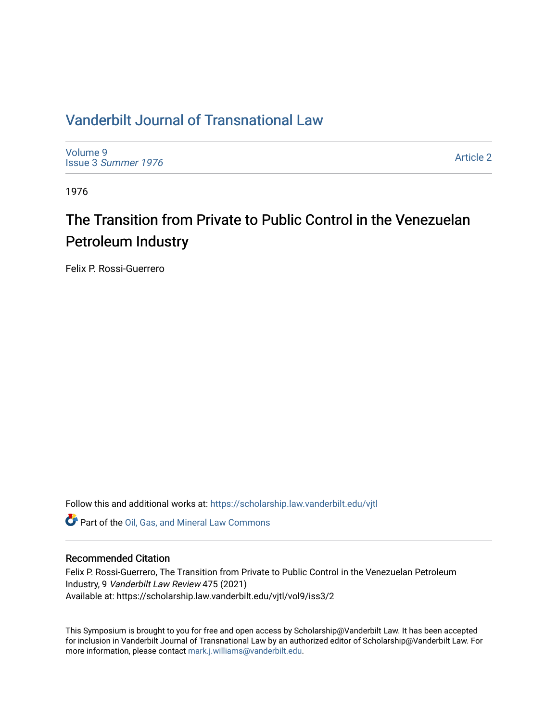# [Vanderbilt Journal of Transnational Law](https://scholarship.law.vanderbilt.edu/vjtl)

[Volume 9](https://scholarship.law.vanderbilt.edu/vjtl/vol9) Issue 3 [Summer 1976](https://scholarship.law.vanderbilt.edu/vjtl/vol9/iss3) 

[Article 2](https://scholarship.law.vanderbilt.edu/vjtl/vol9/iss3/2) 

1976

# The Transition from Private to Public Control in the Venezuelan Petroleum Industry

Felix P. Rossi-Guerrero

Follow this and additional works at: [https://scholarship.law.vanderbilt.edu/vjtl](https://scholarship.law.vanderbilt.edu/vjtl?utm_source=scholarship.law.vanderbilt.edu%2Fvjtl%2Fvol9%2Fiss3%2F2&utm_medium=PDF&utm_campaign=PDFCoverPages) 

Part of the [Oil, Gas, and Mineral Law Commons](https://network.bepress.com/hgg/discipline/864?utm_source=scholarship.law.vanderbilt.edu%2Fvjtl%2Fvol9%2Fiss3%2F2&utm_medium=PDF&utm_campaign=PDFCoverPages) 

## Recommended Citation

Felix P. Rossi-Guerrero, The Transition from Private to Public Control in the Venezuelan Petroleum Industry, 9 Vanderbilt Law Review 475 (2021) Available at: https://scholarship.law.vanderbilt.edu/vjtl/vol9/iss3/2

This Symposium is brought to you for free and open access by Scholarship@Vanderbilt Law. It has been accepted for inclusion in Vanderbilt Journal of Transnational Law by an authorized editor of Scholarship@Vanderbilt Law. For more information, please contact [mark.j.williams@vanderbilt.edu](mailto:mark.j.williams@vanderbilt.edu).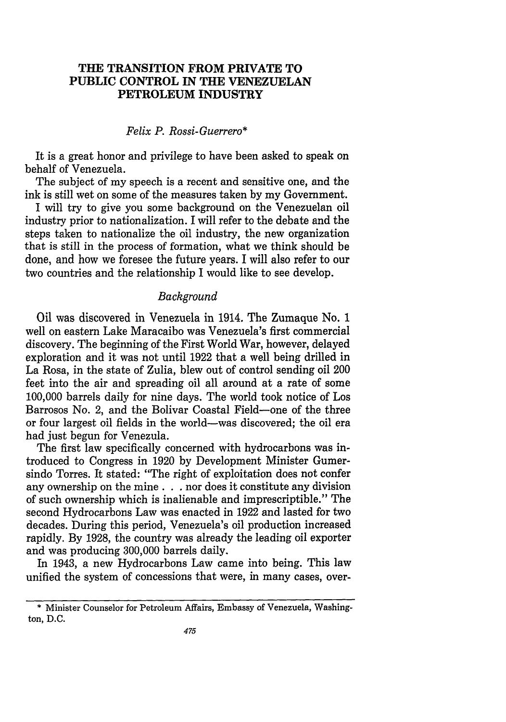## **THE TRANSITION FROM PRIVATE TO PUBLIC CONTROL IN THE VENEZUELAN PETROLEUM INDUSTRY**

#### *Felix P. Rossi-Guerrero\**

It is a great honor and privilege to have been asked to speak on behalf of Venezuela.

The subject of my speech is a recent and sensitive one, and the ink is still wet on some of the measures taken **by** my Government.

I will try to give you some background on the Venezuelan oil industry prior to nationalization. I will refer to the debate and the steps taken to nationalize the oil industry, the new organization that is still in the process of formation, what we think should be done, and how we foresee the future years. I will also refer to our two countries and the relationship I would like to see develop.

## *Background*

Oil was discovered in Venezuela in 1914. The Zumaque No. 1 well on eastern Lake Maracaibo was Venezuela's first commercial discovery. The beginning of the First World War, however, delayed exploration and it was not until 1922 that a well being drilled in La Rosa, in the state of Zulia, blew out of control sending oil 200 feet into the air and spreading oil all around at a rate of some 100,000 barrels daily for nine days. The world took notice of Los Barrosos No. 2, and the Bolivar Coastal Field-one of the three or four largest oil fields in the world-was discovered; the oil era had just begun for Venezula.

The first law specifically concerned with hydrocarbons was introduced to Congress in 1920 by Development Minister Gumersindo Torres. It stated: "The right of exploitation does not confer any ownership on the mine. **. .** nor does it constitute any division of such ownership which is inalienable and imprescriptible." The second Hydrocarbons Law was enacted in 1922 and lasted for two decades. During this period, Venezuela's oil production increased rapidly. By 1928, the country was already the leading oil exporter and was producing 300,000 barrels daily.

In 1943, a new Hydrocarbons Law came into being. This law unified the system of concessions that were, in many cases, over-

<sup>\*</sup> Minister Counselor for Petroleum Affairs, Embassy of Venezuela, Washington, D.C.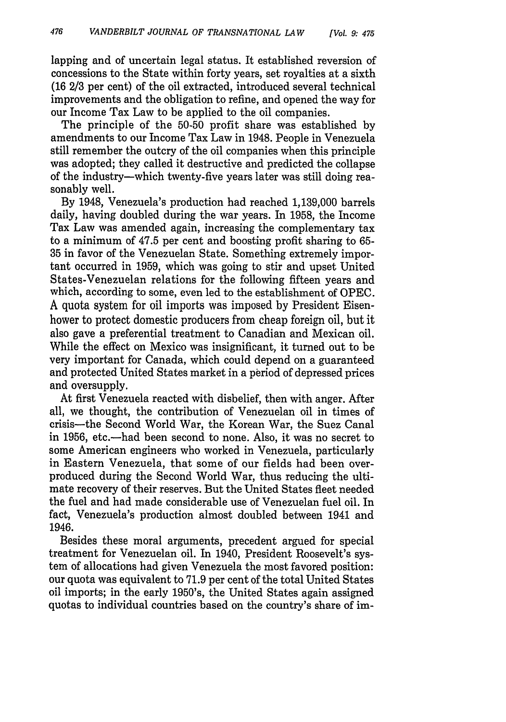lapping and of uncertain legal status. It established reversion of concessions to the State within forty years, set royalties at a sixth (16 2/3 per cent) of the oil extracted, introduced several technical improvements and the obligation to refine, and opened the way for our Income Tax Law to be applied to the oil companies.

The principle of the 50-50 profit share was established by amendments to our Income Tax Law in 1948. People in Venezuela still remember the outcry of the oil companies when this principle was adopted; they called it destructive and predicted the collapse of the industry-which twenty-five years later was still doing reasonably well.

By 1948, Venezuela's production had reached 1,139,000 barrels daily, having doubled during the war years. In 1958, the Income Tax Law was amended again, increasing the complementary tax to a minimum of 47.5 per cent and boosting profit sharing to 65- 35 in favor of the Venezuelan State. Something extremely important occurred in 1959, which was going to stir and upset United States-Venezuelan relations for the following fifteen years and which, according to some, even led to the establishment of OPEC. A quota system for oil imports was imposed by President Eisenhower to protect domestic producers from cheap foreign oil, but it also gave a preferential treatment to Canadian and Mexican oil. While the effect on Mexico was insignificant, it turned out to be very important for Canada, which could depend on a guaranteed and protected United States market in a period of depressed prices and oversupply.

At first Venezuela reacted with disbelief, then with anger. After all, we thought, the contribution of Venezuelan oil in times of crisis-the Second World War, the Korean War, the Suez Canal in 1956, etc.-had been second to none. Also, it was no secret to some American engineers who worked in Venezuela, particularly in Eastern Venezuela, that some of our fields had been overproduced during the Second World War, thus reducing the ultimate recovery of their reserves. But the United States fleet needed the fuel and had made considerable use of Venezuelan fuel oil. In fact, Venezuela's production almost doubled between 1941 and 1946.

Besides these moral arguments, precedent argued for special treatment for Venezuelan oil. In 1940, President Roosevelt's system of allocations had given Venezuela the most favored position: our quota was equivalent to 71.9 per cent of the total United States oil imports; in the early 1950's, the United States again assigned quotas to individual countries based on the country's share of im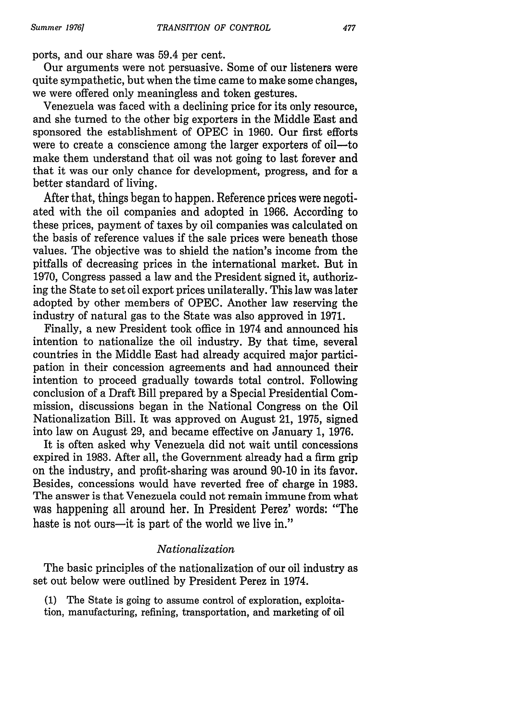ports, and our share was 59.4 per cent.

Our arguments were not persuasive. Some of our listeners were quite sympathetic, but when the time came to make some changes, we were offered only meaningless and token gestures.

Venezuela was faced with a declining price for its only resource, and she turned to the other big exporters in the Middle East and sponsored the establishment of OPEC in 1960. Our first efforts were to create a conscience among the larger exporters of oil—to make them understand that oil was not going to last forever and that it was our only chance for development, progress, and for a better standard of living.

After that, things began to happen. Reference prices were negotiated with the oil companies and adopted in 1966. According to these prices, payment of taxes by oil companies was calculated on the basis of reference values if the sale prices were beneath those values. The objective was to shield the nation's income from the pitfalls of decreasing prices in the international market. But in 1970, Congress passed a law and the President signed it, authorizing the State to set oil export prices unilaterally. This law was later adopted by other members of OPEC. Another law reserving the industry of natural gas to the State was also approved in 1971.

Finally, a new President took office in 1974 and announced his intention to nationalize the oil industry. By that time, several countries in the Middle East had already acquired major participation in their concession agreements and had announced their intention to proceed gradually towards total control. Following conclusion of a Draft Bill prepared by a Special Presidential Commission, discussions began in the National Congress on the Oil Nationalization Bill. It was approved on August 21, 1975, signed into law on August 29, and became effective on January 1, 1976.

It is often asked why Venezuela did not wait until concessions expired in 1983. After all, the Government already had a firm grip on the industry, and profit-sharing was around 90-10 in its favor. Besides, concessions would have reverted free of charge in 1983. The answer is that Venezuela could not remain immune from what was happening all around her. In President Perez' words: "The haste is not ours-it is part of the world we live in."

#### *Nationalization*

The basic principles of the nationalization of our oil industry as set out below were outlined by President Perez in 1974.

(1) The State is going to assume control of exploration, exploitation, manufacturing, refining, transportation, and marketing of oil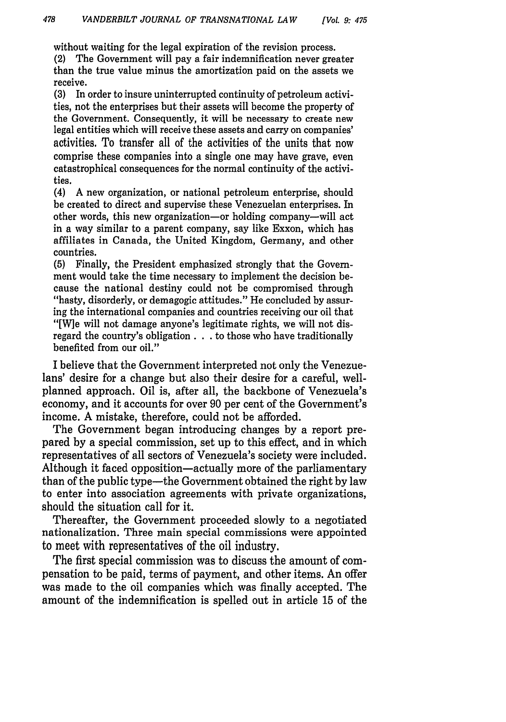without waiting for the legal expiration of the revision process.

(2) The Government will pay a fair indemnification never greater than the true value minus the amortization paid on the assets we receive.

**(3)** In order to insure uninterrupted continuity of petroleum activities, not the enterprises but their assets will become the property of the Government. Consequently, it will be necessary to create new legal entities which will receive these assets and carry on companies' activities. To transfer all of the activities of the units that now comprise these companies into a single one may have grave, even catastrophical consequences for the normal continuity of the activities.

(4) **A** new organization, or national petroleum enterprise, should be created to direct and supervise these Venezuelan enterprises. In other words, this new organization-or holding company-will act in a way similar to a parent company, say like Exxon, which has affiliates in Canada, the United Kingdom, Germany, and other countries.

**(5)** Finally, the President emphasized strongly that the Government would take the time necessary to implement the decision because the national destiny could not be compromised through "hasty, disorderly, or demagogic attitudes." He concluded **by** assuring the international companies and countries receiving our oil that "[W]e will not damage anyone's legitimate rights, we will not disregard the country's obligation. **. .** to those who have traditionally benefited from our oil."

**I** believe that the Government interpreted not only the Venezuelans' desire for a change but also their desire for a careful, wellplanned approach. Oil is, after all, the backbone of Venezuela's economy, and it accounts for over **90** per cent of the Government's income. **A** mistake, therefore, could not be afforded.

The Government began introducing changes **by** a report prepared **by** a special commission, set up to this effect, and in which representatives of all sectors of Venezuela's society were included. Although it faced opposition-actually more of the parliamentary than of the public type-the Government obtained the right **by** law to enter into association agreements with private organizations, should the situation call for it.

Thereafter, the Government proceeded slowly to a negotiated nationalization. Three main special commissions were appointed to meet with representatives of the oil industry.

The first special commission was to discuss the amount of compensation to be paid, terms of payment, and other items. An offer was made to the oil companies which was finally accepted. The amount of the indemnification is spelled out in article **15** of the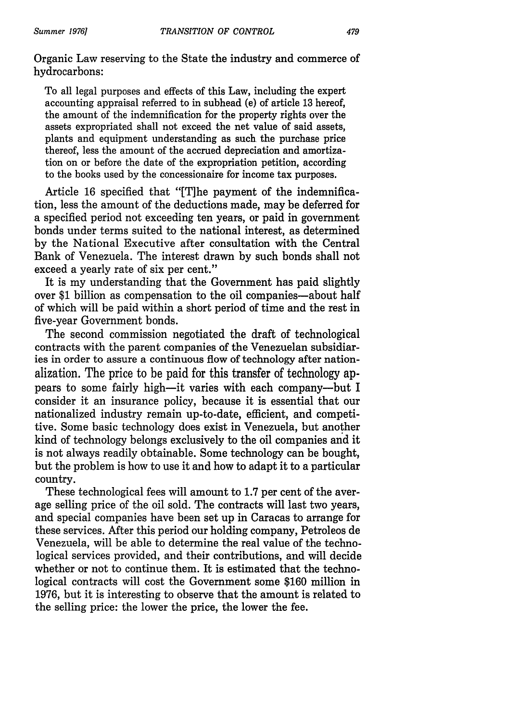Organic Law reserving to the State the industry and commerce of hydrocarbons:

To all legal purposes and effects of this Law, including the expert accounting appraisal referred to in subhead (e) of article 13 hereof, the amount of the indemnification for the property rights over the assets expropriated shall not exceed the net value of said assets, plants and equipment understanding as such the purchase price thereof, less the amount of the accrued depreciation and amortization on or before the date of the expropriation petition, according to the books used by the concessionaire for income tax purposes.

Article 16 specified that "[T]he payment of the indemnification, less the amount of the deductions made, may be deferred for a specified period not exceeding ten years, or paid in government bonds under terms suited to the national interest, as determined by the National Executive after consultation with the Central Bank of Venezuela. The interest drawn by such bonds shall not exceed a yearly rate of six per cent."

It is my understanding that the Government has paid slightly over \$1 billion as compensation to the oil companies-about half of which will be paid within a short period of time and the rest in five-year Government bonds.

The second commission negotiated the draft of technological contracts with the parent companies of the Venezuelan subsidiaries in order to assure a continuous flow of technology after nationalization. The price to be paid for this transfer of technology appears to some fairly high-it varies with each company-but I consider it an insurance policy, because it is essential that our nationalized industry remain up-to-date, efficient, and competitive. Some basic technology does exist in Venezuela, but another kind of technology belongs exclusively to the oil companies and it is not always readily obtainable. Some technology can be bought, but the problem is how to use it and how to adapt it to a particular country.

These technological fees will amount to 1.7 per cent of the average selling price of the oil sold. The contracts will last two years, and special companies have been set up in Caracas to arrange for these services. After this period our holding company, Petroleos de Venezuela, will be able to determine the real value of the technological services provided, and their contributions, and will decide whether or not to continue them. It is estimated that the technological contracts will cost the Government some \$160 million in 1976, but it is interesting to observe that the amount is related to the selling price: the lower the price, the lower the fee.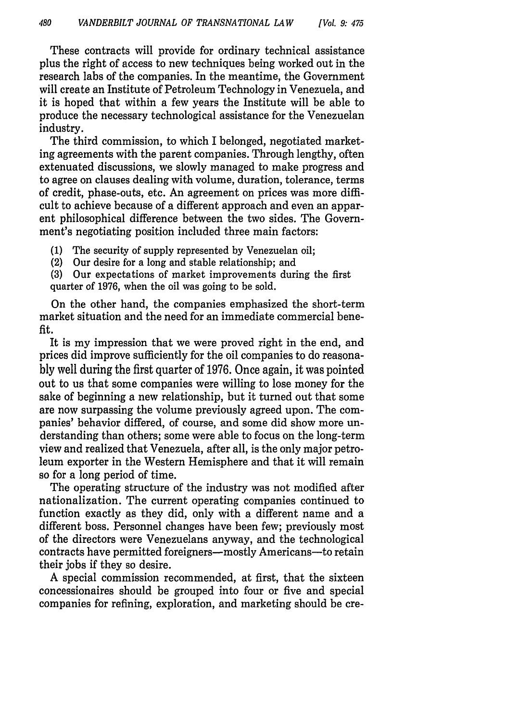These contracts will provide for ordinary technical assistance plus the right of access to new techniques being worked out in the research labs of the companies. In the meantime, the Government will create an Institute of Petroleum Technology in Venezuela, and it is hoped that within a few years the Institute will be able to produce the necessary technological assistance for the Venezuelan industry.

The third commission, to which I belonged, negotiated marketing agreements with the parent companies. Through lengthy, often extenuated discussions, we slowly managed to make progress and to agree on clauses dealing with volume, duration, tolerance, terms of credit, phase-outs, etc. An agreement on prices was more difficult to achieve because of a different approach and even an apparent philosophical difference between the two sides. The Government's negotiating position included three main factors:

(1) The security of supply represented by Venezuelan oil;

(2) Our desire for a long and stable relationship; and

(3) Our expectations of market improvements during the first quarter of 1976, when the oil was going to be sold.

On the other hand, the companies emphasized the short-term market situation and the need for an immediate commercial benefit.

It is my impression that we were proved right in the end, and prices did improve sufficiently for the oil companies to do reasonably well during the first quarter of 1976. Once again, it was pointed out to us that some companies were willing to lose money for the sake of beginning a new relationship, but it turned out that some are now surpassing the volume previously agreed upon. The companies' behavior differed, of course, and some did show more understanding than others; some were able to focus on the long-term view and realized that Venezuela, after all, is the only major petroleum exporter in the Western Hemisphere and that it will remain so for a long period of time.

The operating structure of the industry was not modified after nationalization. The current operating companies continued to function exactly as they did, only with a different name and a different boss. Personnel changes have been few; previously most of the directors were Venezuelans anyway, and the technological contracts have permitted foreigners—mostly Americans—to retain their jobs if they so desire.

A special commission recommended, at first, that the sixteen concessionaires should be grouped into four or five and special companies for refining, exploration, and marketing should be cre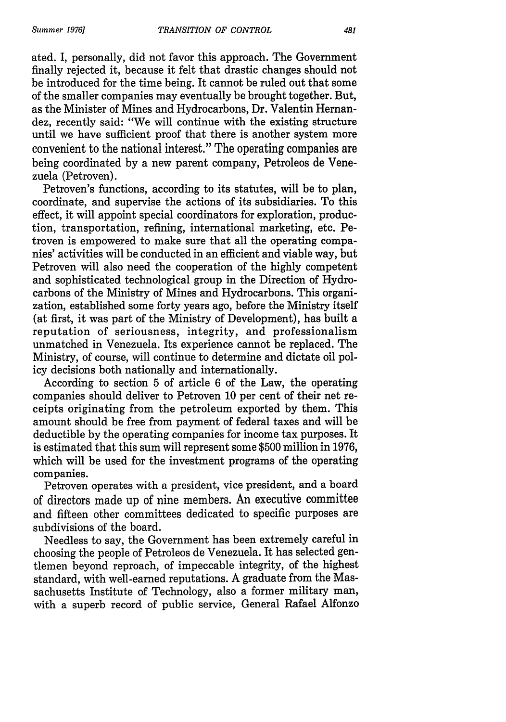ated. I, personally, did not favor this approach. The Government finally rejected it, because it felt that drastic changes should not be introduced for the time being. It cannot be ruled out that some of the smaller companies may eventually be brought together. But, as the Minister of Mines and Hydrocarbons, Dr. Valentin Hernandez, recently said: "We will continue with the existing structure until we have sufficient proof that there is another system more convenient to the national interest." The operating companies are being coordinated by a new parent company, Petroleos de Venezuela (Petroven).

Petroven's functions, according to its statutes, will be to plan, coordinate, and supervise the actions of its subsidiaries. To this effect, it will appoint special coordinators for exploration, production, transportation, refining, international marketing, etc. Petroven is empowered to make sure that all the operating companies' activities will be conducted in an efficient and viable way, but Petroven will also need the cooperation of the highly competent and sophisticated technological group in the Direction of Hydrocarbons of the Ministry of Mines and Hydrocarbons. This organization, established some forty years ago, before the Ministry itself (at first, it was part of the Ministry of Development), has built a reputation of seriousness, integrity, and professionalism unmatched in Venezuela. Its experience cannot be replaced. The Ministry, of course, will continue to determine and dictate oil policy decisions both nationally and internationally.

According to section 5 of article 6 of the Law, the operating companies should deliver to Petroven 10 per cent of their net receipts originating from the petroleum exported by them. This amount should be free from payment of federal taxes and will be deductible by the operating companies for income tax purposes. It is estimated that this sum will represent some \$500 million in 1976, which will be used for the investment programs of the operating companies.

Petroven operates with a president, vice president, and a board of directors made up of nine members. An executive committee and fifteen other committees dedicated to specific purposes are subdivisions of the board.

Needless to say, the Government has been extremely careful in choosing the people of Petroleos de Venezuela. It has selected gentlemen beyond reproach, of impeccable integrity, of the highest standard, with well-earned reputations. A graduate from the Massachusetts Institute of Technology, also a former military man, with a superb record of public service, General Rafael Alfonzo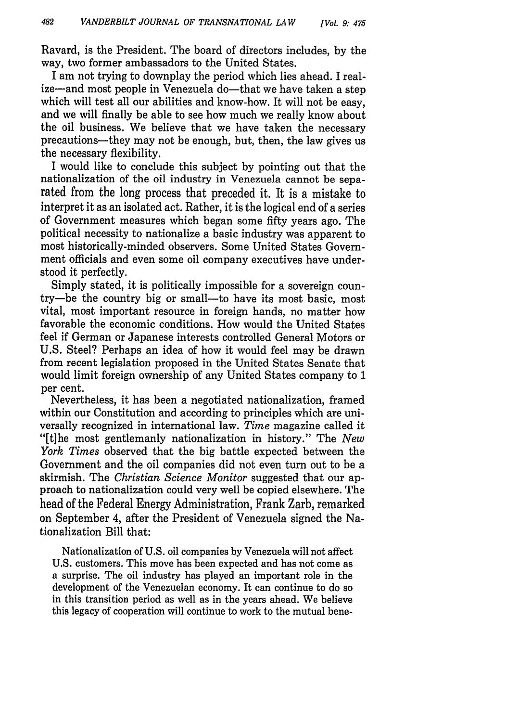Ravard, is the President. The board of directors includes, by the way, two former ambassadors to the United States.

I am not trying to downplay the period which lies ahead. I realize-and most people in Venezuela do-that we have taken a step which will test all our abilities and know-how. It will not be easy, and we will finally be able to see how much we really know about the oil business. We believe that we have taken the necessary precautions-they may not be enough, but, then, the law gives us the necessary flexibility.

I would like to conclude this subject by pointing out that the nationalization of the oil industry in Venezuela cannot be separated from the long process that preceded it. It is a mistake to interpret it as an isolated act. Rather, it is the logical end of a series of Government measures which began some fifty years ago. The political necessity to nationalize a basic industry was apparent to most historically-minded observers. Some United States Government officials and even some oil company executives have understood it perfectly.

Simply stated, it is politically impossible for a sovereign country-be the country big or small-to have its most basic, most vital, most important resource in foreign hands, no matter how favorable the economic conditions. How would the United States feel if German or Japanese interests controlled General Motors or U.S. Steel? Perhaps an idea of how it would feel may be drawn from recent legislation proposed in the United States Senate that would limit foreign ownership of any United States company to 1 per cent.

Nevertheless, it has been a negotiated nationalization, framed within our Constitution and according to principles which are universally recognized in international law. *Time* magazine called it "[tihe most gentlemanly nationalization in history." The *New York Times* observed that the big battle expected between the Government and the oil companies did not even turn out to be a skirmish. The *Christian Science Monitor* suggested that our approach to nationalization could very well be copied elsewhere. The head of the Federal Energy Administration, Frank Zarb, remarked on September 4, after the President of Venezuela signed the Nationalization Bill that:

Nationalization of U.S. oil companies by Venezuela will not affect U.S. customers. This move has been expected and has not come as a surprise. The oil industry has played an important role in the development of the Venezuelan economy. It can continue to do so in this transition period as well as in the years ahead. We believe this legacy of cooperation will continue to work to the mutual bene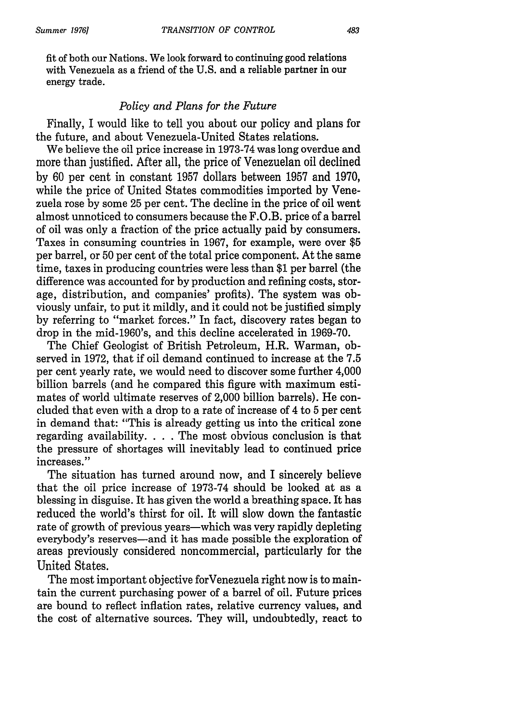fit of both our Nations. We look forward to continuing good relations with Venezuela as a friend of the U.S. and a reliable partner in our energy trade.

#### *Policy and Plans for the Future*

Finally, I would like to tell you about our policy and plans for the future, and about Venezuela-United States relations.

We believe the oil price increase in 1973-74 was long overdue and more than justified. After all, the price of Venezuelan oil declined by 60 per cent in constant 1957 dollars between 1957 and 1970, while the price of United States commodities imported by Venezuela rose by some 25 per cent. The decline in the price of oil went almost unnoticed to consumers because the F.O.B. price of a barrel of oil was only a fraction of the price actually paid by consumers. Taxes in consuming countries in 1967, for example, were over \$5 per barrel, or 50 per cent of the total price component. At the same time, taxes in producing countries were less than \$1 per barrel (the difference was accounted for by production and refining costs, storage, distribution, and companies' profits). The system was obviously unfair, to put it mildly, and it could not be justified simply by referring to "market forces." In fact, discovery rates began to drop in the mid-1960's, and this decline accelerated in 1969-70.

The Chief Geologist of British Petroleum, H.R. Warman, observed in 1972, that if oil demand continued to increase at the 7.5 per cent yearly rate, we would need to discover some further 4,000 billion barrels (and he compared this figure with maximum estimates of world ultimate reserves of 2,000 billion barrels). He concluded that even with a drop to a rate of increase of 4 to 5 per cent in demand that: "This is already getting us into the critical zone regarding availability. . **.** . The most obvious conclusion is that the pressure of shortages will inevitably lead to continued price increases."

The situation has turned around now, and I sincerely believe that the oil price increase of 1973-74 should be looked at as a blessing in disguise. It has given the world a breathing space. It has reduced the world's thirst for oil. It will slow down the fantastic rate of growth of previous years—which was very rapidly depleting everybody's reserves-and it has made possible the exploration of areas previously considered noncommercial, particularly for the United States.

The most important objective forVenezuela right now is to maintain the current purchasing power of a barrel of oil. Future prices are bound to reflect inflation rates, relative currency values, and the cost of alternative sources. They will, undoubtedly, react to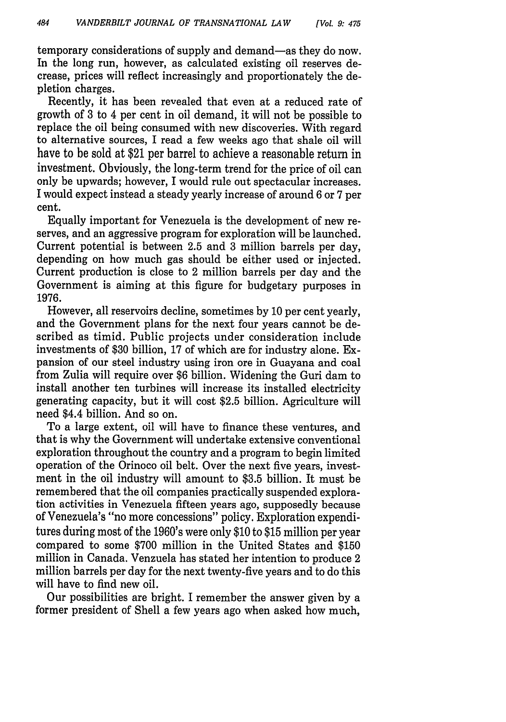temporary considerations of supply and demand-as they do now. In the long run, however, as calculated existing oil reserves decrease, prices will reflect increasingly and proportionately the depletion charges.

Recently, it has been revealed that even at a reduced rate of growth of 3 to 4 per cent in oil demand, it will not be possible to replace the oil being consumed with new discoveries. With regard to alternative sources, I read a few weeks ago that shale oil will have to be sold at \$21 per barrel to achieve a reasonable return in investment. Obviously, the long-term trend for the price of oil can only be upwards; however, I would rule out spectacular increases. I would expect instead a steady yearly increase of around 6 or 7 per cent.

Equally important for Venezuela is the development of new reserves, and an aggressive program for exploration will be launched. Current potential is between 2.5 and 3 million barrels per day, depending on how much gas should be either used or injected. Current production is close to 2 million barrels per day and the Government is aiming at this figure for budgetary purposes in 1976.

However, all reservoirs decline, sometimes by 10 per cent yearly, and the Government plans for the next four years cannot be described as timid. Public projects under consideration include investments of \$30 billion, 17 of which are for industry alone. Expansion of our steel industry using iron ore in Guayana and coal from Zulia will require over \$6 billion. Widening the Guri dam to install another ten turbines will increase its installed electricity generating capacity, but it will cost \$2.5 billion. Agriculture will need \$4.4 billion. And so on.

To a large extent, oil will have to finance these ventures, and that is why the Government will undertake extensive conventional exploration throughout the country and a program to begin limited operation of the Orinoco oil belt. Over the next five years, investment in the oil industry will amount to \$3.5 billion. It must be remembered that the oil companies practically suspended exploration activities in Venezuela fifteen years ago, supposedly because of Venezuela's "no more concessions" policy. Exploration expenditures during most of the 1960's were only \$10 to \$15 million per year compared to some \$700 million in the United States and \$150 million in Canada. Venzuela has stated her intention to produce 2 million barrels per day for the next twenty-five years and to do this will have to find new oil.

Our possibilities are bright. I remember the answer given by a former president of Shell a few years ago when asked how much,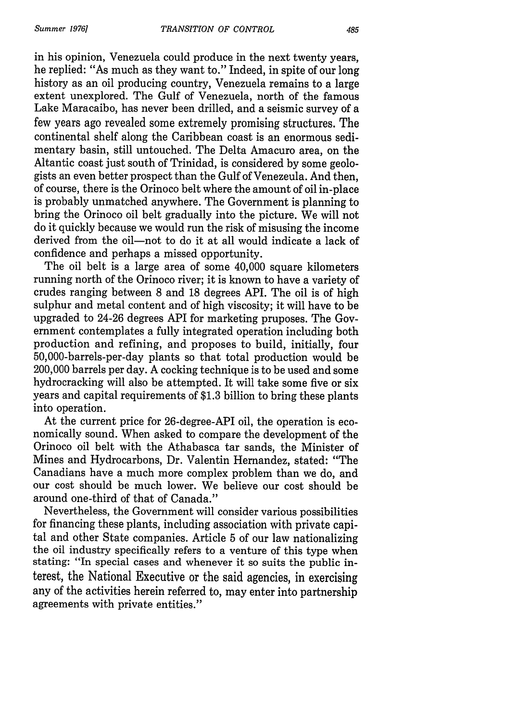in his opinion, Venezuela could produce in the next twenty years, he replied: "As much as they want to." Indeed, in spite of our long history as an oil producing country, Venezuela remains to a large extent unexplored. The Gulf of Venezuela, north of the famous Lake Maracaibo, has never been drilled, and a seismic survey of a few years ago revealed some extremely promising structures. The continental shelf along the Caribbean coast is an enormous sedimentary basin, still untouched. The Delta Amacuro area, on the Altantic coast just south of Trinidad, is considered by some geologists an even better prospect than the Gulf of Venezeula. And then, of course, there is the Orinoco belt where the amount of oil in-place is probably unmatched anywhere. The Government is planning to bring the Orinoco oil belt gradually into the picture. We will not do it quickly because we would run the risk of misusing the income derived from the oil-not to do it at all would indicate a lack of confidence and perhaps a missed opportunity.

The oil belt is a large area of some 40,000 square kilometers running north of the Orinoco river; it is known to have a variety of crudes ranging between 8 and 18 degrees API. The oil is of high sulphur and metal content and of high viscosity; it will have to be upgraded to 24-26 degrees API for marketing pruposes. The Government contemplates a fully integrated operation including both production and refining, and proposes to build, initially, four 50,000-barrels-per-day plants so that total production would be 200,000 barrels per day. A cocking technique is to be used and some hydrocracking will also be attempted. It will take some five or six years and capital requirements of \$1.3 billion to bring these plants into operation.

At the current price for 26-degree-API oil, the operation is economically sound. When asked to compare the development of the Orinoco oil belt with the Athabasca tar sands, the Minister of Mines and Hydrocarbons, Dr. Valentin Hernandez, stated: "The Canadians have a much more complex problem than we do, and our cost should be much lower. We believe our cost should be around one-third of that of Canada."

Nevertheless, the Government will consider various possibilities for financing these plants, including association with private capital and other State companies. Article 5 of our law nationalizing the oil industry specifically refers to a venture of this type when stating: "In special cases and whenever it so suits the public interest, the National Executive or the said agencies, in exercising any of the activities herein referred to, may enter into partnership agreements with private entities."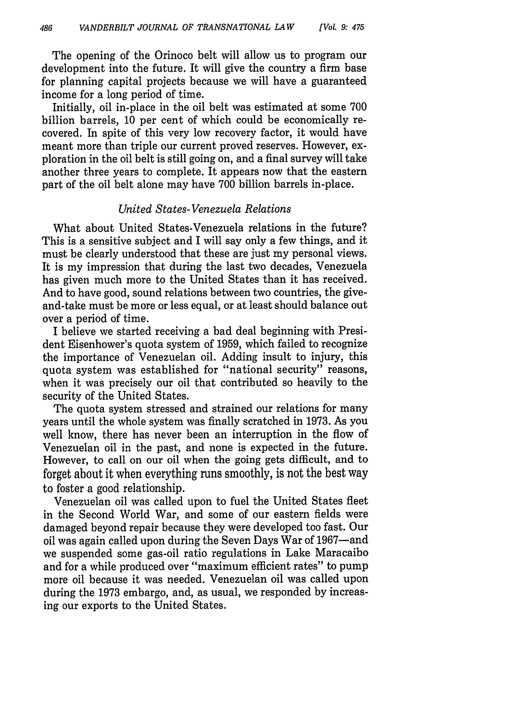The opening of the Orinoco belt will allow us to program our development into the future. It will give the country a firm base for planning capital projects because we will have a guaranteed income for a long period of time.

Initially, oil in-place in the oil belt was estimated at some 700 billion barrels, 10 per cent of which could be economically recovered. In spite of this very low recovery factor, it would have meant more than triple our current proved reserves. However, exploration in the oil belt is still going on, and a final survey will take another three years to complete. It appears now that the eastern part of the oil belt alone may have 700 billion barrels in-place.

#### *United States- Venezuela Relations*

What about United States-Venezuela relations in the future? This is a sensitive subject and I will say only a few things, and it must be clearly understood that these are just my personal views. It is my impression that during the last two decades, Venezuela has given much more to the United States than it has received. And to have good, sound relations between two countries, the giveand-take must be more or less equal, or at least should balance out over a period of time.

I believe we started receiving a bad deal beginning with President Eisenhower's quota system of 1959, which failed to recognize the importance of Venezuelan oil. Adding insult to injury, this quota system was established for "national security" reasons, when it was precisely our oil that contributed so heavily to the security of the United States.

The quota system stressed and strained our relations for many years until the whole system was finally scratched in 1973. As you well know, there has never been an interruption in the flow of Venezuelan oil in the past, and none is expected in the future. However, to call on our oil when the going gets difficult, and to forget about it when everything runs smoothly, is not the best way to foster a good relationship.

Venezuelan oil was called upon to fuel the United States fleet in the Second World War, and some of our eastern fields were damaged beyond repair because they were developed too fast. Our oil was again called upon during the Seven Days War of 1967-and we suspended some gas-oil ratio regulations in Lake Maracaibo and for a while produced over "maximum efficient rates" to pump more oil because it was needed. Venezuelan oil was called upon during the 1973 embargo, and, as usual, we responded by increasing our exports to the United States.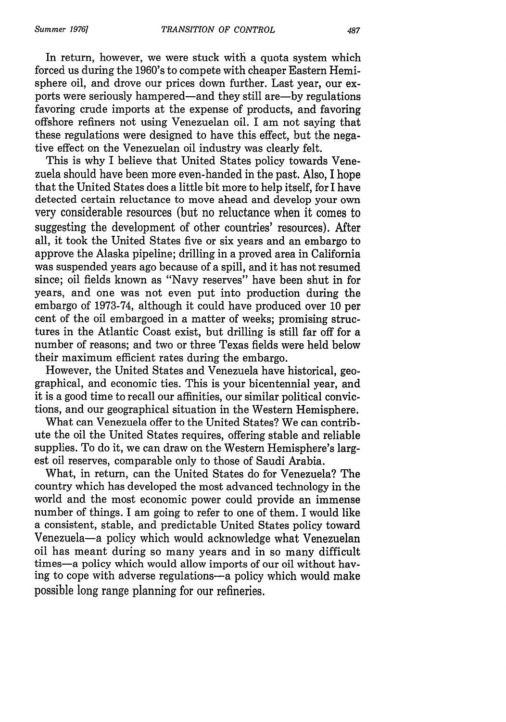In return, however, we were stuck with a quota system which forced us during the 1960's to compete with cheaper Eastern Hemisphere oil, and drove our prices down further. Last year, our exports were seriously hampered-and they still are-by regulations favoring crude imports at the expense of products, and favoring offshore refiners not using Venezuelan oil. I am not saying that these regulations were designed to have this effect, but the negative effect on the Venezuelan oil industry was clearly felt.

This is why I believe that United States policy towards Venezuela should have been more even-handed in the past. Also, I hope that the United States does a little bit more to help itself, for I have detected certain reluctance to move ahead and develop your own very considerable resources (but no reluctance when it comes to suggesting the development of other countries' resources). After all, it took the United States five or six years and an embargo to approve the Alaska pipeline; drilling in a proved area in California was suspended years ago because of a spill, and it has not resumed since; oil fields known as "Navy reserves" have been shut in for years, and one was not even put into production during the embargo of 1973-74, although it could have produced over 10 per cent of the oil embargoed in a matter of weeks; promising structures in the Atlantic Coast exist, but drilling is still far off for a number of reasons; and two or three Texas fields were held below their maximum efficient rates during the embargo.

However, the United States and Venezuela have historical, geographical, and economic ties. This is your bicentennial year, and it is a good time to recall our affinities, our similar political convictions, and our geographical situation in the Western Hemisphere.

What can Venezuela offer to the United States? We can contribute the oil the United States requires, offering stable and reliable supplies. To do it, we can draw on the Western Hemisphere's largest oil reserves, comparable only to those of Saudi Arabia.

What, in return, can the United States do for Venezuela? The country which has developed the most advanced technology in the world and the most economic power could provide an immense number of things. I am going to refer to one of them. I would like a consistent, stable, and predictable United States policy toward Venezuela-a policy which would acknowledge what Venezuelan oil has meant during so many years and in so many difficult times-a policy which would allow imports of our oil without having to cope with adverse regulations-a policy which would make possible long range planning for our refineries.